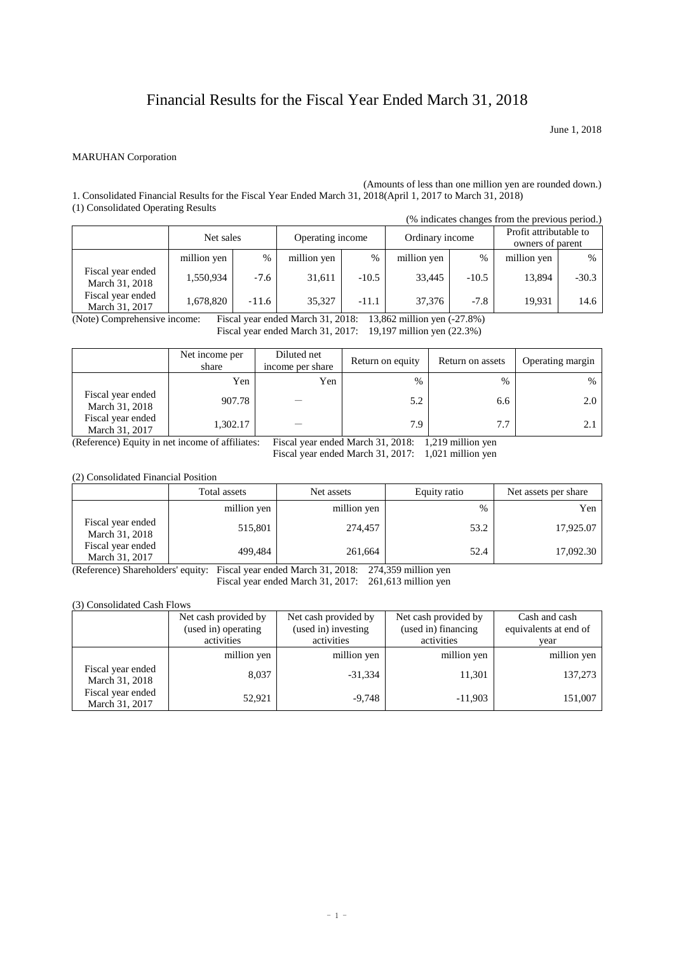## Financial Results for the Fiscal Year Ended March 31, 2018

June 1, 2018

## MARUHAN Corporation

(Amounts of less than one million yen are rounded down.) 1. Consolidated Financial Results for the Fiscal Year Ended March 31, 2018(April 1, 2017 to March 31, 2018) (1) Consolidated Operating Results

| $(1)$ consolidated operating results |             |         |                  |         |                 |         | (% indicates changes from the previous period.) |         |
|--------------------------------------|-------------|---------|------------------|---------|-----------------|---------|-------------------------------------------------|---------|
|                                      | Net sales   |         | Operating income |         | Ordinary income |         | Profit attributable to<br>owners of parent      |         |
|                                      | million yen | $\%$    | million yen      | $\%$    | million yen     | $\%$    | million yen                                     | %       |
| Fiscal year ended<br>March 31, 2018  | 1,550,934   | $-7.6$  | 31,611           | $-10.5$ | 33,445          | $-10.5$ | 13,894                                          | $-30.3$ |
| Fiscal year ended<br>March 31, 2017  | 1,678,820   | $-11.6$ | 35.327           | $-11.1$ | 37,376          | $-7.8$  | 19,931                                          | 14.6    |

(Note) Comprehensive income: Fiscal year ended March 31, 2018: 13,862 million yen (-27.8%)

Fiscal year ended March 31, 2017: 19,197 million yen (22.3%)

|                                     | Net income per<br>share | Diluted net<br>income per share | Return on equity | Return on assets | Operating margin |
|-------------------------------------|-------------------------|---------------------------------|------------------|------------------|------------------|
|                                     | Yen                     | Yen                             | %                | $\%$             | %                |
| Fiscal year ended<br>March 31, 2018 | 907.78                  |                                 | 5.2              | 6.6              | 2.0              |
| Fiscal year ended<br>March 31, 2017 | 1,302.17                |                                 | 7.9              | 7.7              |                  |

(Reference) Equity in net income of affiliates: Fiscal year ended March 31, 2018: 1,219 million yen

Fiscal year ended March 31, 2017: 1,021 million yen

(2) Consolidated Financial Position

|                                     | Total assets | Net assets  | Equity ratio | Net assets per share |
|-------------------------------------|--------------|-------------|--------------|----------------------|
|                                     | million yen  | million yen | %            | Yen                  |
| Fiscal year ended<br>March 31, 2018 | 515,801      | 274,457     | 53.2         | 17,925.07            |
| Fiscal year ended<br>March 31, 2017 | 499.484      | 261.664     | 52.4         | 17,092.30            |

(Reference) Shareholders' equity: Fiscal year ended March 31, 2018: 274,359 million yen Fiscal year ended March 31, 2017: 261,613 million yen

## (3) Consolidated Cash Flows

|                                     | Net cash provided by<br>(used in) operating<br>activities | Net cash provided by<br>(used in) investing<br>activities | Net cash provided by<br>(used in) financing<br>activities | Cash and cash<br>equivalents at end of<br>vear |
|-------------------------------------|-----------------------------------------------------------|-----------------------------------------------------------|-----------------------------------------------------------|------------------------------------------------|
|                                     | million yen                                               | million yen                                               | million yen                                               | million yen                                    |
| Fiscal year ended<br>March 31, 2018 | 8,037                                                     | $-31,334$                                                 | 11.301                                                    | 137,273                                        |
| Fiscal year ended<br>March 31, 2017 | 52,921                                                    | $-9,748$                                                  | $-11,903$                                                 | 151,007                                        |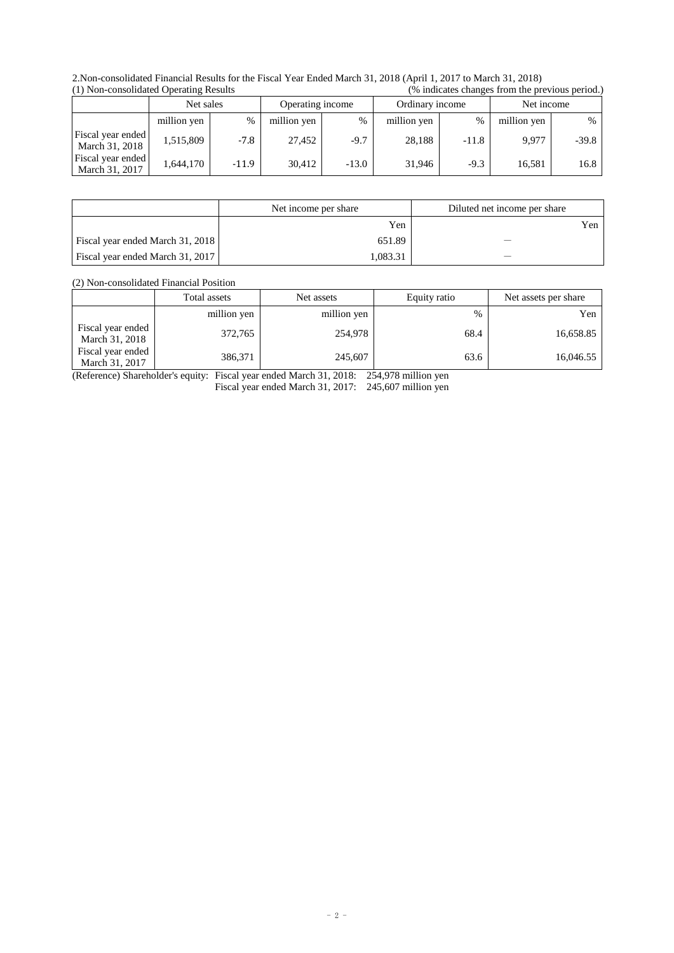2.Non-consolidated Financial Results for the Fiscal Year Ended March 31, 2018 (April 1, 2017 to March 31, 2018)  $(%$  indicates changes from the previous period.)

|                                     | $(1)$ ron consondated operating results |        |                  | $\sim$ maneated enamely from the previous period. |                 |         |             |         |
|-------------------------------------|-----------------------------------------|--------|------------------|---------------------------------------------------|-----------------|---------|-------------|---------|
|                                     | Net sales                               |        | Operating income |                                                   | Ordinary income |         | Net income  |         |
|                                     | million yen                             | %      | million yen      | $\frac{0}{0}$                                     | million yen     | $\%$    | million yen | $\%$    |
| Fiscal year ended<br>March 31, 2018 | 1.515.809                               | $-7.8$ | 27.452           | $-9.7$                                            | 28.188          | $-11.8$ | 9.977       | $-39.8$ |
| Fiscal year ended<br>March 31, 2017 | 1.644.170                               | -11.9  | 30.412           | $-13.0$                                           | 31,946          | $-9.3$  | 16.581      | 16.8    |

|                                  | Net income per share | Diluted net income per share |
|----------------------------------|----------------------|------------------------------|
|                                  | Yen                  | Yen                          |
| Fiscal year ended March 31, 2018 | 651.89               |                              |
| Fiscal year ended March 31, 2017 | 1.083.31             |                              |

(2) Non-consolidated Financial Position

|                                     | Total assets | Net assets  | Equity ratio | Net assets per share |
|-------------------------------------|--------------|-------------|--------------|----------------------|
|                                     | million yen  | million yen | $\%$         | Yen                  |
| Fiscal year ended<br>March 31, 2018 | 372,765      | 254,978     | 68.4         | 16,658.85            |
| Fiscal year ended<br>March 31, 2017 | 386,371      | 245,607     | 63.6         | 16,046.55            |

(Reference) Shareholder's equity: Fiscal year ended March 31, 2018: 254,978 million yen Fiscal year ended March 31, 2017: 245,607 million yen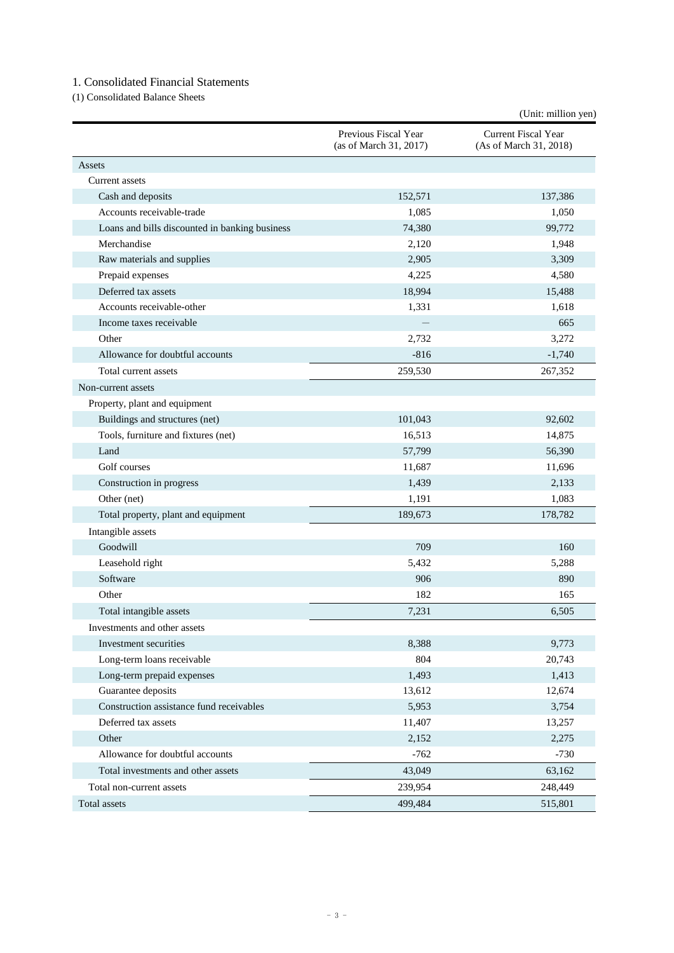## 1. Consolidated Financial Statements

(1) Consolidated Balance Sheets

| Previous Fiscal Year<br>Current Fiscal Year<br>(as of March 31, 2017)<br>(As of March 31, 2018)<br>Assets<br>Current assets<br>Cash and deposits<br>152,571<br>137,386<br>Accounts receivable-trade<br>1,085<br>1,050<br>74,380<br>99,772<br>Loans and bills discounted in banking business<br>Merchandise<br>2,120<br>1,948<br>3,309<br>Raw materials and supplies<br>2,905<br>4,225<br>4,580<br>Prepaid expenses<br>Deferred tax assets<br>18,994<br>15,488<br>Accounts receivable-other<br>1,331<br>1,618<br>665<br>Income taxes receivable<br>Other<br>2,732<br>3,272<br>Allowance for doubtful accounts<br>$-816$<br>$-1,740$<br>259,530<br>Total current assets<br>267,352<br>Non-current assets<br>Property, plant and equipment<br>Buildings and structures (net)<br>101,043<br>92,602<br>Tools, furniture and fixtures (net)<br>16,513<br>14,875<br>Land<br>57,799<br>56,390<br>Golf courses<br>11,687<br>11,696<br>1,439<br>2,133<br>Construction in progress<br>1,083<br>1,191<br>Other (net)<br>189,673<br>Total property, plant and equipment<br>178,782<br>Intangible assets<br>Goodwill<br>709<br>160<br>Leasehold right<br>5,432<br>5,288<br>890<br>Software<br>906 |       |     | (Unit: million yen) |
|-------------------------------------------------------------------------------------------------------------------------------------------------------------------------------------------------------------------------------------------------------------------------------------------------------------------------------------------------------------------------------------------------------------------------------------------------------------------------------------------------------------------------------------------------------------------------------------------------------------------------------------------------------------------------------------------------------------------------------------------------------------------------------------------------------------------------------------------------------------------------------------------------------------------------------------------------------------------------------------------------------------------------------------------------------------------------------------------------------------------------------------------------------------------------------------|-------|-----|---------------------|
|                                                                                                                                                                                                                                                                                                                                                                                                                                                                                                                                                                                                                                                                                                                                                                                                                                                                                                                                                                                                                                                                                                                                                                                     |       |     |                     |
|                                                                                                                                                                                                                                                                                                                                                                                                                                                                                                                                                                                                                                                                                                                                                                                                                                                                                                                                                                                                                                                                                                                                                                                     |       |     |                     |
|                                                                                                                                                                                                                                                                                                                                                                                                                                                                                                                                                                                                                                                                                                                                                                                                                                                                                                                                                                                                                                                                                                                                                                                     |       |     |                     |
|                                                                                                                                                                                                                                                                                                                                                                                                                                                                                                                                                                                                                                                                                                                                                                                                                                                                                                                                                                                                                                                                                                                                                                                     |       |     |                     |
|                                                                                                                                                                                                                                                                                                                                                                                                                                                                                                                                                                                                                                                                                                                                                                                                                                                                                                                                                                                                                                                                                                                                                                                     |       |     |                     |
|                                                                                                                                                                                                                                                                                                                                                                                                                                                                                                                                                                                                                                                                                                                                                                                                                                                                                                                                                                                                                                                                                                                                                                                     |       |     |                     |
|                                                                                                                                                                                                                                                                                                                                                                                                                                                                                                                                                                                                                                                                                                                                                                                                                                                                                                                                                                                                                                                                                                                                                                                     |       |     |                     |
|                                                                                                                                                                                                                                                                                                                                                                                                                                                                                                                                                                                                                                                                                                                                                                                                                                                                                                                                                                                                                                                                                                                                                                                     |       |     |                     |
|                                                                                                                                                                                                                                                                                                                                                                                                                                                                                                                                                                                                                                                                                                                                                                                                                                                                                                                                                                                                                                                                                                                                                                                     |       |     |                     |
|                                                                                                                                                                                                                                                                                                                                                                                                                                                                                                                                                                                                                                                                                                                                                                                                                                                                                                                                                                                                                                                                                                                                                                                     |       |     |                     |
|                                                                                                                                                                                                                                                                                                                                                                                                                                                                                                                                                                                                                                                                                                                                                                                                                                                                                                                                                                                                                                                                                                                                                                                     |       |     |                     |
|                                                                                                                                                                                                                                                                                                                                                                                                                                                                                                                                                                                                                                                                                                                                                                                                                                                                                                                                                                                                                                                                                                                                                                                     |       |     |                     |
|                                                                                                                                                                                                                                                                                                                                                                                                                                                                                                                                                                                                                                                                                                                                                                                                                                                                                                                                                                                                                                                                                                                                                                                     |       |     |                     |
|                                                                                                                                                                                                                                                                                                                                                                                                                                                                                                                                                                                                                                                                                                                                                                                                                                                                                                                                                                                                                                                                                                                                                                                     |       |     |                     |
|                                                                                                                                                                                                                                                                                                                                                                                                                                                                                                                                                                                                                                                                                                                                                                                                                                                                                                                                                                                                                                                                                                                                                                                     |       |     |                     |
|                                                                                                                                                                                                                                                                                                                                                                                                                                                                                                                                                                                                                                                                                                                                                                                                                                                                                                                                                                                                                                                                                                                                                                                     |       |     |                     |
|                                                                                                                                                                                                                                                                                                                                                                                                                                                                                                                                                                                                                                                                                                                                                                                                                                                                                                                                                                                                                                                                                                                                                                                     |       |     |                     |
|                                                                                                                                                                                                                                                                                                                                                                                                                                                                                                                                                                                                                                                                                                                                                                                                                                                                                                                                                                                                                                                                                                                                                                                     |       |     |                     |
|                                                                                                                                                                                                                                                                                                                                                                                                                                                                                                                                                                                                                                                                                                                                                                                                                                                                                                                                                                                                                                                                                                                                                                                     |       |     |                     |
|                                                                                                                                                                                                                                                                                                                                                                                                                                                                                                                                                                                                                                                                                                                                                                                                                                                                                                                                                                                                                                                                                                                                                                                     |       |     |                     |
|                                                                                                                                                                                                                                                                                                                                                                                                                                                                                                                                                                                                                                                                                                                                                                                                                                                                                                                                                                                                                                                                                                                                                                                     |       |     |                     |
|                                                                                                                                                                                                                                                                                                                                                                                                                                                                                                                                                                                                                                                                                                                                                                                                                                                                                                                                                                                                                                                                                                                                                                                     |       |     |                     |
|                                                                                                                                                                                                                                                                                                                                                                                                                                                                                                                                                                                                                                                                                                                                                                                                                                                                                                                                                                                                                                                                                                                                                                                     |       |     |                     |
|                                                                                                                                                                                                                                                                                                                                                                                                                                                                                                                                                                                                                                                                                                                                                                                                                                                                                                                                                                                                                                                                                                                                                                                     |       |     |                     |
|                                                                                                                                                                                                                                                                                                                                                                                                                                                                                                                                                                                                                                                                                                                                                                                                                                                                                                                                                                                                                                                                                                                                                                                     |       |     |                     |
|                                                                                                                                                                                                                                                                                                                                                                                                                                                                                                                                                                                                                                                                                                                                                                                                                                                                                                                                                                                                                                                                                                                                                                                     |       |     |                     |
|                                                                                                                                                                                                                                                                                                                                                                                                                                                                                                                                                                                                                                                                                                                                                                                                                                                                                                                                                                                                                                                                                                                                                                                     |       |     |                     |
|                                                                                                                                                                                                                                                                                                                                                                                                                                                                                                                                                                                                                                                                                                                                                                                                                                                                                                                                                                                                                                                                                                                                                                                     |       |     |                     |
|                                                                                                                                                                                                                                                                                                                                                                                                                                                                                                                                                                                                                                                                                                                                                                                                                                                                                                                                                                                                                                                                                                                                                                                     | Other | 182 | 165                 |
| Total intangible assets<br>7,231<br>6,505                                                                                                                                                                                                                                                                                                                                                                                                                                                                                                                                                                                                                                                                                                                                                                                                                                                                                                                                                                                                                                                                                                                                           |       |     |                     |
| Investments and other assets                                                                                                                                                                                                                                                                                                                                                                                                                                                                                                                                                                                                                                                                                                                                                                                                                                                                                                                                                                                                                                                                                                                                                        |       |     |                     |
| Investment securities<br>8,388<br>9,773                                                                                                                                                                                                                                                                                                                                                                                                                                                                                                                                                                                                                                                                                                                                                                                                                                                                                                                                                                                                                                                                                                                                             |       |     |                     |
| Long-term loans receivable<br>804<br>20,743                                                                                                                                                                                                                                                                                                                                                                                                                                                                                                                                                                                                                                                                                                                                                                                                                                                                                                                                                                                                                                                                                                                                         |       |     |                     |
| Long-term prepaid expenses<br>1,493<br>1,413                                                                                                                                                                                                                                                                                                                                                                                                                                                                                                                                                                                                                                                                                                                                                                                                                                                                                                                                                                                                                                                                                                                                        |       |     |                     |
| Guarantee deposits<br>13,612<br>12,674                                                                                                                                                                                                                                                                                                                                                                                                                                                                                                                                                                                                                                                                                                                                                                                                                                                                                                                                                                                                                                                                                                                                              |       |     |                     |
| Construction assistance fund receivables<br>3,754<br>5,953                                                                                                                                                                                                                                                                                                                                                                                                                                                                                                                                                                                                                                                                                                                                                                                                                                                                                                                                                                                                                                                                                                                          |       |     |                     |
| Deferred tax assets<br>11,407<br>13,257                                                                                                                                                                                                                                                                                                                                                                                                                                                                                                                                                                                                                                                                                                                                                                                                                                                                                                                                                                                                                                                                                                                                             |       |     |                     |
| Other<br>2,152<br>2,275                                                                                                                                                                                                                                                                                                                                                                                                                                                                                                                                                                                                                                                                                                                                                                                                                                                                                                                                                                                                                                                                                                                                                             |       |     |                     |
| Allowance for doubtful accounts<br>$-762$<br>$-730$                                                                                                                                                                                                                                                                                                                                                                                                                                                                                                                                                                                                                                                                                                                                                                                                                                                                                                                                                                                                                                                                                                                                 |       |     |                     |
| Total investments and other assets<br>43,049<br>63,162                                                                                                                                                                                                                                                                                                                                                                                                                                                                                                                                                                                                                                                                                                                                                                                                                                                                                                                                                                                                                                                                                                                              |       |     |                     |
| Total non-current assets<br>239,954<br>248,449                                                                                                                                                                                                                                                                                                                                                                                                                                                                                                                                                                                                                                                                                                                                                                                                                                                                                                                                                                                                                                                                                                                                      |       |     |                     |
| 499,484<br>Total assets<br>515,801                                                                                                                                                                                                                                                                                                                                                                                                                                                                                                                                                                                                                                                                                                                                                                                                                                                                                                                                                                                                                                                                                                                                                  |       |     |                     |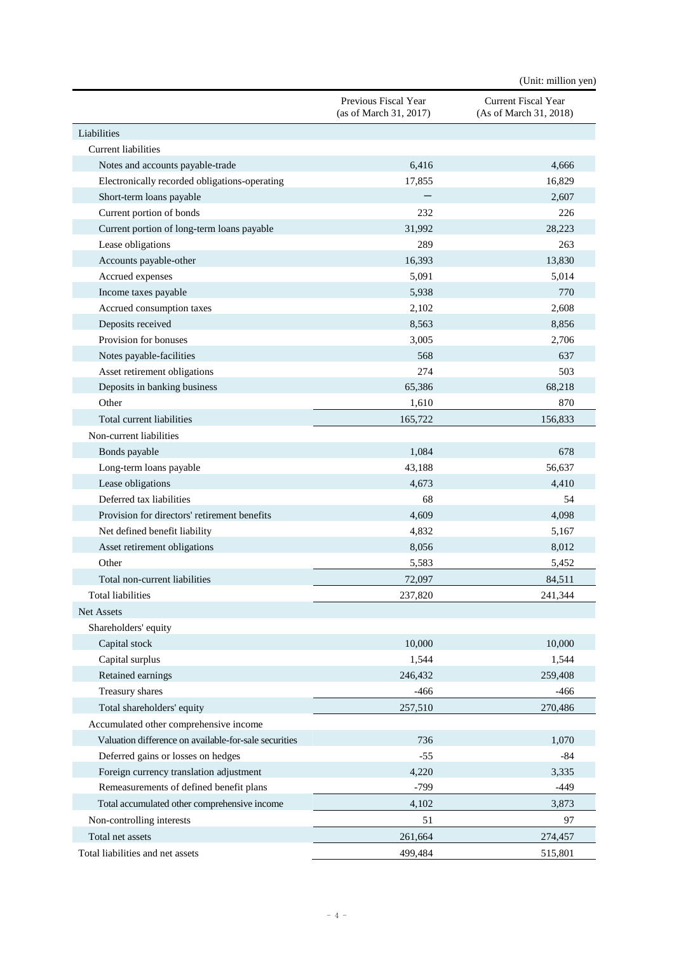|                                                       |                                                | (Unit: million yen)                                  |
|-------------------------------------------------------|------------------------------------------------|------------------------------------------------------|
|                                                       | Previous Fiscal Year<br>(as of March 31, 2017) | <b>Current Fiscal Year</b><br>(As of March 31, 2018) |
| Liabilities                                           |                                                |                                                      |
| <b>Current liabilities</b>                            |                                                |                                                      |
| Notes and accounts payable-trade                      | 6,416                                          | 4,666                                                |
| Electronically recorded obligations-operating         | 17,855                                         | 16,829                                               |
| Short-term loans payable                              |                                                | 2,607                                                |
| Current portion of bonds                              | 232                                            | 226                                                  |
| Current portion of long-term loans payable            | 31,992                                         | 28,223                                               |
| Lease obligations                                     | 289                                            | 263                                                  |
| Accounts payable-other                                | 16,393                                         | 13,830                                               |
| Accrued expenses                                      | 5,091                                          | 5,014                                                |
| Income taxes payable                                  | 5,938                                          | 770                                                  |
| Accrued consumption taxes                             | 2,102                                          | 2,608                                                |
| Deposits received                                     | 8,563                                          | 8,856                                                |
| Provision for bonuses                                 | 3,005                                          | 2,706                                                |
| Notes payable-facilities                              | 568                                            | 637                                                  |
| Asset retirement obligations                          | 274                                            | 503                                                  |
| Deposits in banking business                          | 65,386                                         | 68,218                                               |
| Other                                                 | 1,610                                          | 870                                                  |
| Total current liabilities                             | 165,722                                        | 156,833                                              |
| Non-current liabilities                               |                                                |                                                      |
| Bonds payable                                         | 1,084                                          | 678                                                  |
| Long-term loans payable                               | 43,188                                         | 56,637                                               |
| Lease obligations                                     | 4,673                                          | 4,410                                                |
| Deferred tax liabilities                              | 68                                             | 54                                                   |
| Provision for directors' retirement benefits          | 4,609                                          | 4,098                                                |
| Net defined benefit liability                         | 4,832                                          | 5,167                                                |
| Asset retirement obligations                          | 8,056                                          | 8,012                                                |
| Other                                                 | 5,583                                          | 5,452                                                |
| Total non-current liabilities                         | 72,097                                         | 84,511                                               |
| Total liabilities                                     | 237,820                                        | 241,344                                              |
| Net Assets                                            |                                                |                                                      |
| Shareholders' equity                                  |                                                |                                                      |
| Capital stock                                         | 10,000                                         | 10,000                                               |
| Capital surplus                                       | 1,544                                          | 1,544                                                |
| Retained earnings                                     | 246,432                                        | 259,408                                              |
| Treasury shares                                       | $-466$                                         | $-466$                                               |
|                                                       |                                                |                                                      |
| Total shareholders' equity                            | 257,510                                        | 270,486                                              |
| Accumulated other comprehensive income                |                                                |                                                      |
| Valuation difference on available-for-sale securities | 736                                            | 1,070                                                |
| Deferred gains or losses on hedges                    | $-55$                                          | $-84$                                                |
| Foreign currency translation adjustment               | 4,220                                          | 3,335                                                |
| Remeasurements of defined benefit plans               | $-799$                                         | $-449$                                               |
| Total accumulated other comprehensive income          | 4,102                                          | 3,873                                                |
| Non-controlling interests                             | 51                                             | 97                                                   |
| Total net assets                                      | 261,664                                        | 274,457                                              |
| Total liabilities and net assets                      | 499,484                                        | 515,801                                              |

- 4 -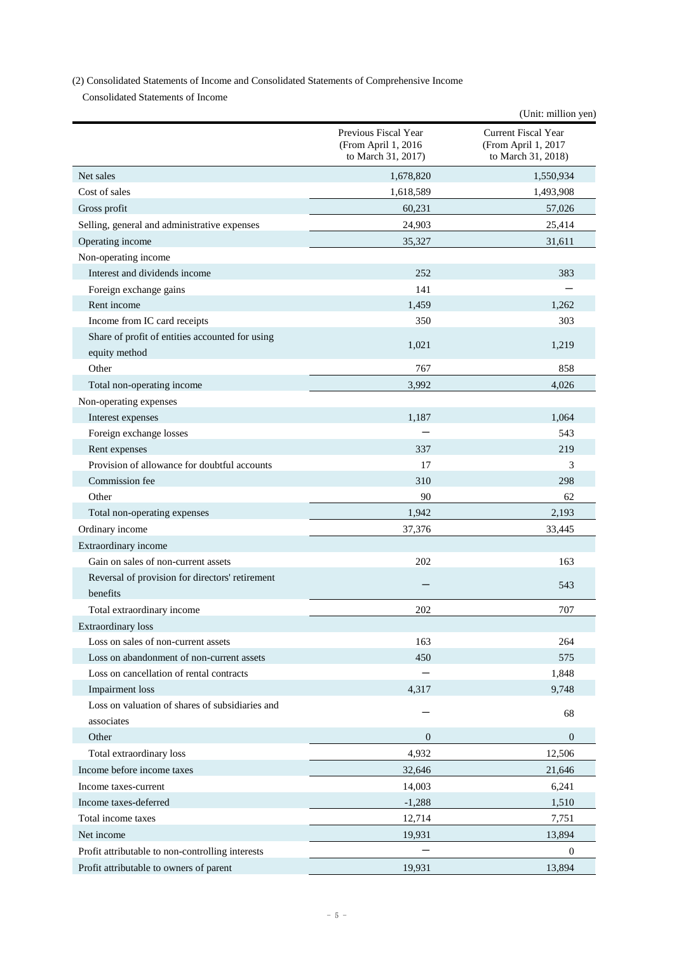(2) Consolidated Statements of Income and Consolidated Statements of Comprehensive Income

Consolidated Statements of Income

|                                                  |                                                                   | (Unit: million yen)                                              |
|--------------------------------------------------|-------------------------------------------------------------------|------------------------------------------------------------------|
|                                                  | Previous Fiscal Year<br>(From April 1, 2016<br>to March 31, 2017) | Current Fiscal Year<br>(From April 1, 2017<br>to March 31, 2018) |
| Net sales                                        | 1,678,820                                                         | 1,550,934                                                        |
| Cost of sales                                    | 1,618,589                                                         | 1,493,908                                                        |
| Gross profit                                     | 60,231                                                            | 57,026                                                           |
| Selling, general and administrative expenses     | 24,903                                                            | 25,414                                                           |
| Operating income                                 | 35,327                                                            | 31,611                                                           |
| Non-operating income                             |                                                                   |                                                                  |
| Interest and dividends income                    | 252                                                               | 383                                                              |
| Foreign exchange gains                           | 141                                                               |                                                                  |
| Rent income                                      | 1,459                                                             | 1,262                                                            |
| Income from IC card receipts                     | 350                                                               | 303                                                              |
| Share of profit of entities accounted for using  | 1,021                                                             | 1,219                                                            |
| equity method                                    |                                                                   |                                                                  |
| Other                                            | 767                                                               | 858                                                              |
| Total non-operating income                       | 3,992                                                             | 4,026                                                            |
| Non-operating expenses                           |                                                                   |                                                                  |
| Interest expenses                                | 1,187                                                             | 1,064                                                            |
| Foreign exchange losses                          |                                                                   | 543                                                              |
| Rent expenses                                    | 337                                                               | 219                                                              |
| Provision of allowance for doubtful accounts     | 17                                                                | 3                                                                |
| Commission fee                                   | 310                                                               | 298                                                              |
| Other                                            | 90                                                                | 62                                                               |
| Total non-operating expenses                     | 1,942                                                             | 2,193                                                            |
| Ordinary income                                  | 37,376                                                            | 33,445                                                           |
| Extraordinary income                             |                                                                   |                                                                  |
| Gain on sales of non-current assets              | 202                                                               | 163                                                              |
| Reversal of provision for directors' retirement  |                                                                   | 543                                                              |
| benefits                                         |                                                                   |                                                                  |
| Total extraordinary income                       | 202                                                               | 707                                                              |
| <b>Extraordinary</b> loss                        |                                                                   |                                                                  |
| Loss on sales of non-current assets              | 163                                                               | 264                                                              |
| Loss on abandonment of non-current assets        | 450                                                               | 575                                                              |
| Loss on cancellation of rental contracts         |                                                                   | 1,848                                                            |
| Impairment loss                                  | 4,317                                                             | 9,748                                                            |
| Loss on valuation of shares of subsidiaries and  |                                                                   | 68                                                               |
| associates                                       |                                                                   |                                                                  |
| Other                                            | $\mathbf{0}$                                                      | $\mathbf{0}$                                                     |
| Total extraordinary loss                         | 4,932                                                             | 12,506                                                           |
| Income before income taxes                       | 32,646                                                            | 21,646                                                           |
| Income taxes-current                             | 14,003                                                            | 6,241                                                            |
| Income taxes-deferred                            | $-1,288$                                                          | 1,510                                                            |
| Total income taxes                               | 12,714                                                            | 7,751                                                            |
| Net income                                       | 19,931                                                            | 13,894                                                           |
| Profit attributable to non-controlling interests |                                                                   | $\theta$                                                         |
| Profit attributable to owners of parent          | 19,931                                                            | 13,894                                                           |